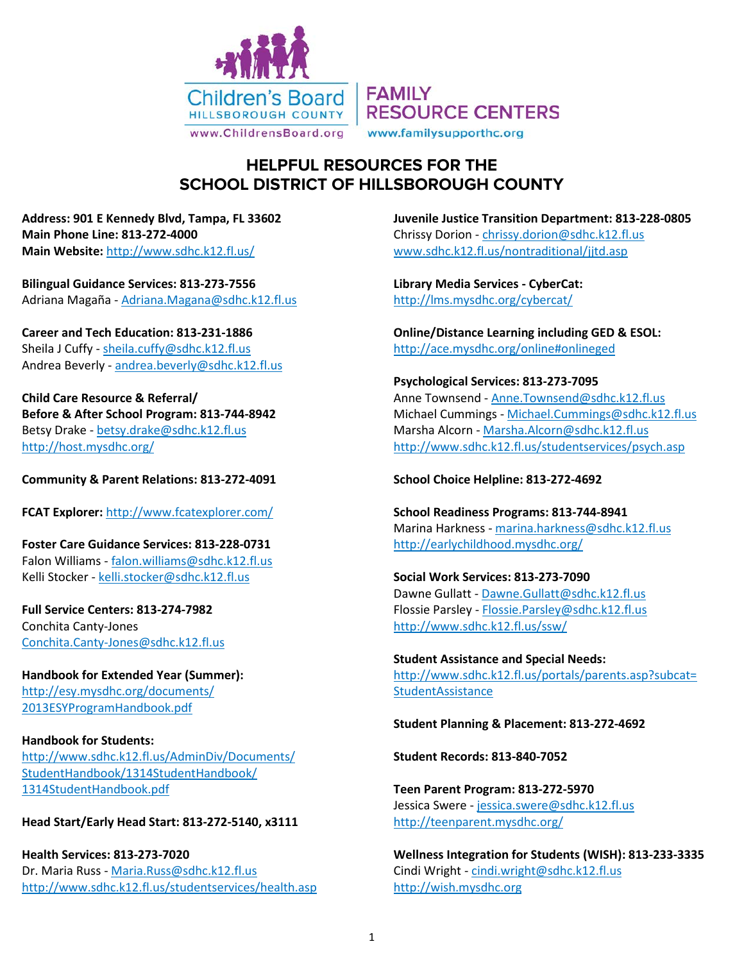

# **HELPFUL RESOURCES FOR THE SCHOOL DISTRICT OF HILLSBOROUGH COUNTY**

**Address: 901 E Kennedy Blvd, Tampa, FL 33602 Main Phone Line: 813-272-4000 Main Website:** <http://www.sdhc.k12.fl.us/>

**Bilingual Guidance Services: 813-273-7556** Adriana Magaña - [Adriana.Magana@sdhc.k12.fl.us](mailto:Adriana.Magana@sdhc.k12.fl.us)

**Career and Tech Education: 813-231-1886** Sheila J Cuffy - [sheila.cuffy@sdhc.k12.fl.us](mailto:sheila.cuffy@sdhc.k12.fl.us) Andrea Beverly - [andrea.beverly@sdhc.k12.fl.us](mailto:andrea.beverly@sdhc.k12.fl.us)

**Child Care Resource & Referral/ Before & After School Program: 813-744-8942** Betsy Drake - [betsy.drake@sdhc.k12.fl.us](mailto:betsy.drake@sdhc.k12.fl.us) <http://host.mysdhc.org/>

**Community & Parent Relations: 813-272-4091**

**FCAT Explorer:** <http://www.fcatexplorer.com/>

**Foster Care Guidance Services: 813-228-0731** Falon Williams - [falon.williams@sdhc.k12.fl.us](mailto:falon.williams@sdhc.k12.fl.us) Kelli Stocker - [kelli.stocker@sdhc.k12.fl.us](mailto:kelli.stocker@sdhc.k12.fl.us)

**Full Service Centers: 813-274-7982** Conchita Canty-Jones [Conchita.Canty-Jones@sdhc.k12.fl.us](mailto:Conchita.Canty-Jones@sdhc.k12.fl.us)

**Handbook for Extended Year (Summer):**  [http://esy.mysdhc.org/documents/](http://esy.mysdhc.org/documents/2013ESYProgramHandbook.pdf) [2013ESYProgramHandbook.pdf](http://esy.mysdhc.org/documents/2013ESYProgramHandbook.pdf)

## **Handbook for Students:**  [http://www.sdhc.k12.fl.us/AdminDiv/Documents/](http://www.sdhc.k12.fl.us/AdminDiv/Documents/%20StudentHandbook/1314StudentHandbook/%201314StudentHandbook.pdf) [StudentHandbook/1314StudentHandbook/](http://www.sdhc.k12.fl.us/AdminDiv/Documents/%20StudentHandbook/1314StudentHandbook/%201314StudentHandbook.pdf)  [1314StudentHandbook.pdf](http://www.sdhc.k12.fl.us/AdminDiv/Documents/%20StudentHandbook/1314StudentHandbook/%201314StudentHandbook.pdf)

## **Head Start/Early Head Start: 813-272-5140, x3111**

**Health Services: 813-273-7020** Dr. Maria Russ - [Maria.Russ@sdhc.k12.fl.us](mailto:Maria.Russ@sdhc.k12.fl.us) <http://www.sdhc.k12.fl.us/studentservices/health.asp> **Juvenile Justice Transition Department: 813-228-0805** Chrissy Dorion - [chrissy.dorion@sdhc.k12.fl.us](mailto:chrissy.dorion@sdhc.k12.fl.us) [www.sdhc.k12.fl.us/nontraditional/jjtd.asp](http://www.sdhc.k12.fl.us/nontraditional/jjtd.asp)

**Library Media Services - CyberCat:** <http://lms.mysdhc.org/cybercat/>

**Online/Distance Learning including GED & ESOL:**  <http://ace.mysdhc.org/online#onlineged>

**Psychological Services: 813-273-7095** Anne Townsend - [Anne.Townsend@sdhc.k12.fl.us](mailto:Anne.Townsend@sdhc.k12.fl.us) Michael Cummings - [Michael.Cummings@sdhc.k12.fl.us](mailto:Michael.Cummings@sdhc.k12.fl.us) Marsha Alcorn - [Marsha.Alcorn@sdhc.k12.fl.us](mailto:Marsha.Alcorn@sdhc.k12.fl.us) <http://www.sdhc.k12.fl.us/studentservices/psych.asp>

**School Choice Helpline: 813-272-4692**

**School Readiness Programs: 813-744-8941** Marina Harkness - [marina.harkness@sdhc.k12.fl.us](mailto:marina.harkness@sdhc.k12.fl.us) <http://earlychildhood.mysdhc.org/>

**Social Work Services: 813-273-7090** Dawne Gullatt - [Dawne.Gullatt@sdhc.k12.fl.us](mailto:Dawne.Gullatt@sdhc.k12.fl.us) Flossie Parsley - [Flossie.Parsley@sdhc.k12.fl.us](mailto:Flossie.Parsley@sdhc.k12.fl.us) <http://www.sdhc.k12.fl.us/ssw/>

**Student Assistance and Special Needs:** [http://www.sdhc.k12.fl.us/portals/parents.asp?subcat=](http://www.sdhc.k12.fl.us/portals/parents.asp?subcat=StudentAssistance) **[StudentAssistance](http://www.sdhc.k12.fl.us/portals/parents.asp?subcat=StudentAssistance)** 

**Student Planning & Placement: 813-272-4692**

**Student Records: 813-840-7052**

**Teen Parent Program: 813-272-5970** Jessica Swere - [jessica.swere@sdhc.k12.fl.us](mailto:jessica.swere@sdhc.k12.fl.us) <http://teenparent.mysdhc.org/>

**Wellness Integration for Students (WISH): 813-233-3335** Cindi Wright - [cindi.wright@sdhc.k12.fl.us](mailto:cindi.wright@sdhc.k12.fl.us) [http://wish.mysdhc.org](http://wish.mysdhc.org/)